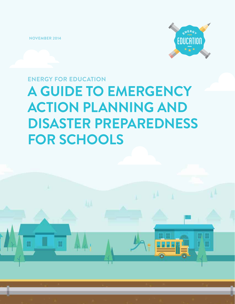**NOVEMBER 2014**



**A GUIDE TO EMERGENCY ACTION PLANNING AND DISASTER PREPAREDNESS FOR SCHOOLS ENERGY FOR EDUCATION**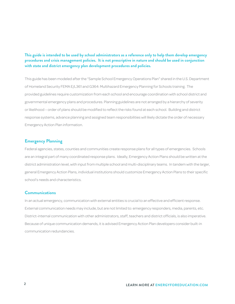### **This guide is intended to be used by school administrators as a reference only to help them develop emergency procedures and crisis management policies. It is not prescriptive in nature and should be used in conjunction with state and district emergency plan development procedures and policies.**

This guide has been modeled after the "Sample School Emergency Operations Plan" shared in the U.S. Department of Homeland Security FEMA E/L361 and G364: Multihazard Emergency Planning for Schools training. The provided guidelines require customization from each school and encourage coordination with school district and governmental emergency plans and procedures. Planning guidelines are not arranged by a hierarchy of severity or likelihood – order of plans should be modified to reflect the risks found at each school. Building and district response systems, advance planning and assigned team responsibilities will likely dictate the order of necessary Emergency Action Plan information.

### **Emergency Planning**

Federal agencies, states, counties and communities create response plans for all types of emergencies. Schools are an integral part of many coordinated response plans. Ideally, Emergency Action Plans should be written at the district administration level, with input from multiple school and multi-disciplinary teams. In tandem with the larger, general Emergency Action Plans, individual institutions should customize Emergency Action Plans to their specific school's needs and characteristics.

### **Communications**

In an actual emergency, communication with external entities is crucial to an effective and efficient response. External communication needs may include, but are not limited to: emergency responders, media, parents, etc. District-internal communication with other administrators, staff, teachers and district officials, is also imperative. Because of unique communication demands, it is advised Emergency Action Plan developers consider built-in communication redundancies.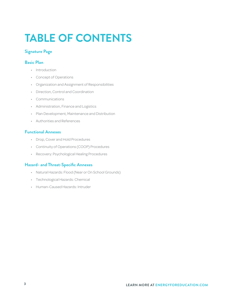# **TABLE OF CONTENTS**

## **Signature Page**

### **Basic Plan**

- Introduction
- Concept of Operations
- Organization and Assignment of Responsibilities
- Direction, Control and Coordination
- Communications
- Administration, Finance and Logistics
- Plan Development, Maintenance and Distribution
- Authorities and References

### **Functional Annexes**

- Drop, Cover and Hold Procedures
- Continuity of Operations (COOP) Procedures
- Recovery: Psychological Healing Procedures

### **Hazard- and Threat-Specific Annexes**

- Natural Hazards: Flood (Near or On School Grounds)
- Technological Hazards: Chemical
- Human-Caused Hazards: Intruder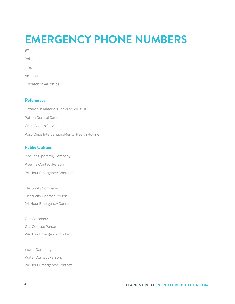# **EMERGENCY PHONE NUMBERS**

| 911                   |  |
|-----------------------|--|
| Police:               |  |
| Fire:                 |  |
| Ambulance:            |  |
| Dispatch/PSAP office: |  |

## **References**

Hazardous Materials Leaks or Spills: 911 Poison Control Center Crime Victim Services Post-Crisis Intervention/Mental Health Hotline

## **Public Utilities**

Pipeline Operator/Company: Pipeline Contact Person: 24-Hour Emergency Contact:

Electricity Company: Electricity Contact Person: 24-Hour Emergency Contact:

Gas Company:

Gas Contact Person:

24-Hour Emergency Contact:

Water Company:

Water Contact Person:

24-Hour Emergency Contact: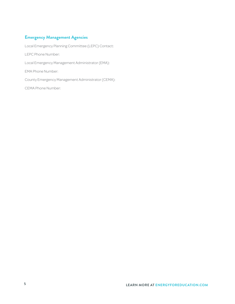## **Emergency Management Agencies**

Local Emergency Planning Committee (LEPC) Contact:

LEPC Phone Number:

Local Emergency Management Administrator (EMA):

EMA Phone Number:

County Emergency Management Administrator (CEMA):

CEMA Phone Number: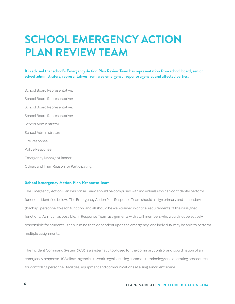## **SCHOOL EMERGENCY ACTION PLAN REVIEW TEAM**

**It is advised that school's Emergency Action Plan Review Team has representation from school board, senior school administrators, representatives from area emergency response agencies and affected parties.**

School Board Representative: School Board Representative: School Board Representative: School Board Representative: School Administrator: School Administrator: Fire Response: Police Response: Emergency Manager/Planner: Others and Their Reason for Participating:

### **School Emergency Action Plan Response Team**

The Emergency Action Plan Response Team should be comprised with individuals who can confidently perform functions identified below. The Emergency Action Plan Response Team should assign primary and secondary (backup) personnel to each function, and all should be well-trained in critical requirements of their assigned functions. As much as possible, fill Response Team assignments with staff members who would not be actively responsible for students. Keep in mind that, dependent upon the emergency, one individual may be able to perform multiple assignments.

The Incident Command System (ICS) is a systematic tool used for the comman, control and coordination of an emergency response. ICS allows agencies to work together using common terminology and operating procedures for controlling personnel, facilities, equipment and communications at a single incident scene.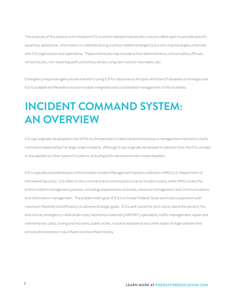The purpose of this section is to introduce ICS to school representatives who may be called upon to provide specific expertise, assistance, information or materials during a school-related emergency but who may be largely unfamiliar with ICS organization and operations. These individuals may include school administrators, school safety officials, school faculty, non-teaching staff, school bus drivers, long-term school volunteers, etc.

Emergency response agencies are trained to using ICS for response to all types and sizes of disasters or emergencies. ICS is scalable and flexible to accommodate integrated and coordinated management of this incidents.

## **INCIDENT COMMAND SYSTEM: AN OVERVIEW**

ICS was originally developed in the 1970s by fire services in California and Arizona as a management method to clarify command relationships for large-scale incidents. Although it was originally developed to address fires, the ICS concept is now applied to other types of incidents, including both natural and man-made disasters.

ICS is typically considered part of the broader Incident Management System outlined in NIMS (U.S. Department of Homeland Security). ICS refers to the command and control protocol at an incident scene, while NIMS covers the entire incident management process, including preparedness activities, resource management and communications and information management. The predominant goal of ICS is to foster Federal, State and local cooperation with maximum flexibility and efficiency to achieve strategic goals. ICS is well-suited for joint use by law enforcement, fire and rescue, emergency medical services, hazardous materials (HAZMAT) specialists, traffic management, repair and maintenance, utility, towing and recovery, public works, motorist assistance and other types of organizations that school administration may influence or be influenced by.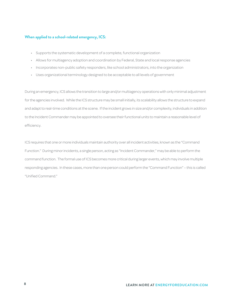### **When applied to a school-related emergency, ICS:**

- Supports the systematic development of a complete, functional organization
- Allows for multiagency adoption and coordination by Federal, State and local response agencies
- Incorporates non-public safety responders, like school administrators, into the organization
- Uses organizational terminology designed to be acceptable to all levels of government

During an emergency, ICS allows the transition to large and/or multiagency operations with only minimal adjustment for the agencies involved. While the ICS structure may be small initially, its scalability allows the structure to expand and adapt to real-time conditions at the scene. If the incident grows in size and/or complexity, individuals in addition to the Incident Commander may be appointed to oversee their functional units to maintain a reasonable level of efficiency.

ICS requires that one or more individuals maintain authority over all incident activities, known as the "Command Function." During minor incidents, a single person, acting as "Incident Commander," may be able to perform the command function. The formal use of ICS becomes more critical during larger events, which may involve multiple responding agencies. In these cases, more than one person could perform the "Command Function" – this is called "Unified Command."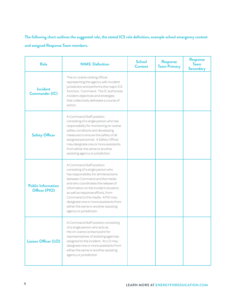**The following chart outlines the suggested role, the stated ICS role definition, example school emergency context and assigned Response Team members.**

| <b>Role</b>                                | <b>NIMS Definition</b>                                                                                                                                                                                                                                                                                                                                                                                        | <b>School</b><br><b>Context</b> | <b>Response</b><br><b>Team Primary</b> | <b>Response</b><br><b>Team</b><br><b>Secondary</b> |
|--------------------------------------------|---------------------------------------------------------------------------------------------------------------------------------------------------------------------------------------------------------------------------------------------------------------------------------------------------------------------------------------------------------------------------------------------------------------|---------------------------------|----------------------------------------|----------------------------------------------------|
| <b>Incident</b><br><b>Commander (IC)</b>   | The on-scene ranking officer,<br>representing the agency with incident<br>jurisdiction and performs the major ICS<br>function, Command. The IC authorizes<br>incident objectives and strategies<br>that collectively delineate a course of<br>action.                                                                                                                                                         |                                 |                                        |                                                    |
| <b>Safety Officer</b>                      | A Command Staff position<br>consisting of a single person who has<br>responsibility for monitoring on-scene<br>safety conditions and developing<br>measures to ensure the safety of all<br>assigned personnel. A Safety Officer<br>may designate one or more assistants<br>from either the same or another<br>assisting agency or jurisdiction.                                                               |                                 |                                        |                                                    |
| <b>Public Information</b><br>Officer (PIO) | A Command Staff position<br>consisting of a single person who<br>has responsibility for all interactions<br>between Command and the media<br>and who coordinates the release of<br>information on the incident situation,<br>as well as response efforts, from<br>Command to the media. A PIO may<br>designate one or more assistants from<br>either the same or another assisting<br>agency or jurisdiction. |                                 |                                        |                                                    |
| Liaison Officer (LO)                       | A Command Staff position consisting<br>of a single person who acts as<br>the on-scene contact point for<br>representatives of assisting agencies<br>assigned to the incident. An LO may<br>designate one or more assistants from<br>either the same or another assisting<br>agency or jurisdiction.                                                                                                           |                                 |                                        |                                                    |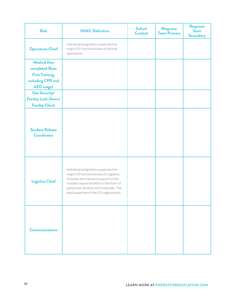| <b>Role</b>                                  | <b>NIMS Definition</b>                                                                                                                                                                                                                                    | <b>School</b><br><b>Context</b> | <b>Response</b><br><b>Team Primary</b> | Response<br><b>Team</b><br><b>Secondary</b> |
|----------------------------------------------|-----------------------------------------------------------------------------------------------------------------------------------------------------------------------------------------------------------------------------------------------------------|---------------------------------|----------------------------------------|---------------------------------------------|
| <b>Operations Chief</b>                      | Individual assigned to supervise the<br>major ICS functional area of tactical<br>operations.                                                                                                                                                              |                                 |                                        |                                             |
| <b>Medical (has</b>                          |                                                                                                                                                                                                                                                           |                                 |                                        |                                             |
| completed Basic                              |                                                                                                                                                                                                                                                           |                                 |                                        |                                             |
| <b>First Training,</b>                       |                                                                                                                                                                                                                                                           |                                 |                                        |                                             |
| including CPR and                            |                                                                                                                                                                                                                                                           |                                 |                                        |                                             |
| <b>AED</b> usage)                            |                                                                                                                                                                                                                                                           |                                 |                                        |                                             |
| <b>Site Security/</b>                        |                                                                                                                                                                                                                                                           |                                 |                                        |                                             |
| Facility Lock-Down/                          |                                                                                                                                                                                                                                                           |                                 |                                        |                                             |
| <b>Facility Check</b>                        |                                                                                                                                                                                                                                                           |                                 |                                        |                                             |
| <b>Student Release</b><br><b>Coordinator</b> |                                                                                                                                                                                                                                                           |                                 |                                        |                                             |
| <b>Logistics Chief</b>                       | Individual assigned to supervise the<br>major ICS functional area of Logistics.<br>Provides services and support to the<br>incident response effort in the form of<br>personnel, facilities and materials. The<br>lead supporter of the ICS organization. |                                 |                                        |                                             |
| <b>Communications</b>                        |                                                                                                                                                                                                                                                           |                                 |                                        |                                             |